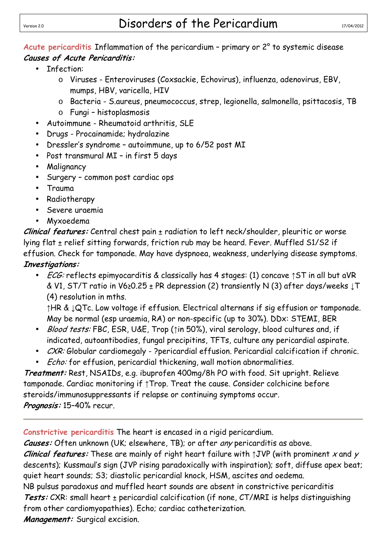## Version 2.0 **Disorders of the Pericardium** 17/04/2012

**Acute pericarditis** Inflammation of the pericardium – primary or 2° to systemic disease **Causes of Acute Pericarditis:** 

- Infection:
	- o Viruses Enteroviruses (Coxsackie, Echovirus), influenza, adenovirus, EBV, mumps, HBV, varicella, HIV
	- o Bacteria S.aureus, pneumococcus, strep, legionella, salmonella, psittacosis, TB
	- o Fungi histoplasmosis
- Autoimmune Rheumatoid arthritis, SLE
- Drugs Procainamide; hydralazine
- Dressler's syndrome autoimmune, up to 6/52 post MI
- Post transmural MI in first 5 days
- Malignancy
- Surgery common post cardiac ops
- Trauma
- Radiotherapy
- Severe uraemia
- Myxoedema

**Clinical features:** Central chest pain ± radiation to left neck/shoulder, pleuritic or worse lying flat ± relief sitting forwards, friction rub may be heard. Fever. Muffled S1/S2 if effusion. Check for tamponade. May have dyspnoea, weakness, underlying disease symptoms. **Investigations:**

• *ECG:* reflects epimyocarditis & classically has 4 stages: (1) concave ↑ST in all but aVR & V1, ST/T ratio in V6≥0.25 ± PR depression (2) transiently N (3) after days/weeks ↓T (4) resolution in mths.

↑HR & ↓QTc. Low voltage if effusion. Electrical alternans if sig effusion or tamponade. May be normal (esp uraemia, RA) or non-specific (up to 30%). DDx: STEMI, BER

- Blood tests: FBC, ESR, U&E, Trop (↑in 50%), viral serology, blood cultures and, if indicated, autoantibodies, fungal precipitins, TFTs, culture any pericardial aspirate.
- $C X R$ : Globular cardiomegaly ?pericardial effusion. Pericardial calcification if chronic.
- *Echo:* for effusion, pericardial thickening, wall motion abnormalities.

**Treatment:** Rest, NSAIDs, e.g. ibuprofen 400mg/8h PO with food. Sit upright. Relieve tamponade. Cardiac monitoring if ↑Trop. Treat the cause. Consider colchicine before steroids/immunosuppressants if relapse or continuing symptoms occur. **Prognosis:** 15–40% recur.

**Constrictive pericarditis** The heart is encased in a rigid pericardium.

**Causes:** Often unknown (UK; elsewhere, TB); or after any pericarditis as above.

**Clinical features:** These are mainly of right heart failure with ↑JVP (with prominent x and y descents); Kussmaul's sign (JVP rising paradoxically with inspiration); soft, diffuse apex beat; quiet heart sounds; S3; diastolic pericardial knock, HSM, ascites and oedema.

NB pulsus paradoxus and muffled heart sounds are absent in constrictive pericarditis **Tests:** CXR: small heart ± pericardial calcification (if none, CT/MRI is helps distinguishing from other cardiomyopathies). Echo; cardiac catheterization.

**Management:** Surgical excision.